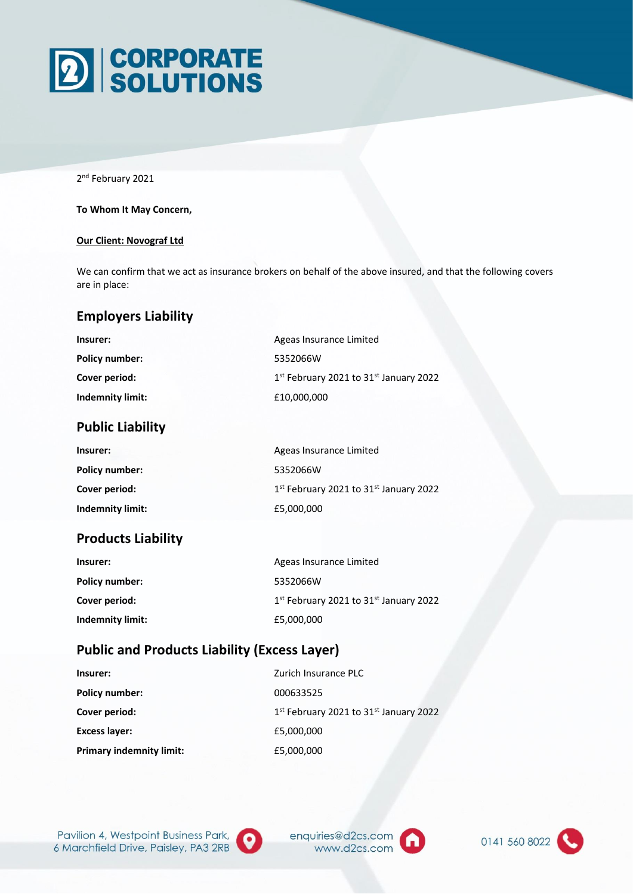

2<sup>nd</sup> February 2021

### **To Whom It May Concern,**

### **Our Client: Novograf Ltd**

We can confirm that we act as insurance brokers on behalf of the above insured, and that the following covers are in place:

## **Employers Liability**

| Insurer:                | Ageas Insurance Limited                |
|-------------------------|----------------------------------------|
| <b>Policy number:</b>   | 5352066W                               |
| Cover period:           | 1st February 2021 to 31st January 2022 |
| <b>Indemnity limit:</b> | £10,000,000                            |

## **Public Liability**

| Insurer:                | Ageas Insurance Limited                |
|-------------------------|----------------------------------------|
| <b>Policy number:</b>   | 5352066W                               |
| Cover period:           | 1st February 2021 to 31st January 2022 |
| <b>Indemnity limit:</b> | £5,000,000                             |

### **Products Liability**

| Insurer:                | Ageas Insurance Limited                     |
|-------------------------|---------------------------------------------|
| <b>Policy number:</b>   | 5352066W                                    |
| Cover period:           | $1st$ February 2021 to 31 $st$ January 2022 |
| <b>Indemnity limit:</b> | £5,000,000                                  |

## **Public and Products Liability (Excess Layer)**

| Insurer:                        | Zurich Insurance PLC                   |
|---------------------------------|----------------------------------------|
| <b>Policy number:</b>           | 000633525                              |
| Cover period:                   | 1st February 2021 to 31st January 2022 |
| <b>Excess layer:</b>            | £5,000,000                             |
| <b>Primary indemnity limit:</b> | £5,000,000                             |

Pavilion 4, Westpoint Business Park, 6 Marchfield Drive, Paisley, PA3 2RB